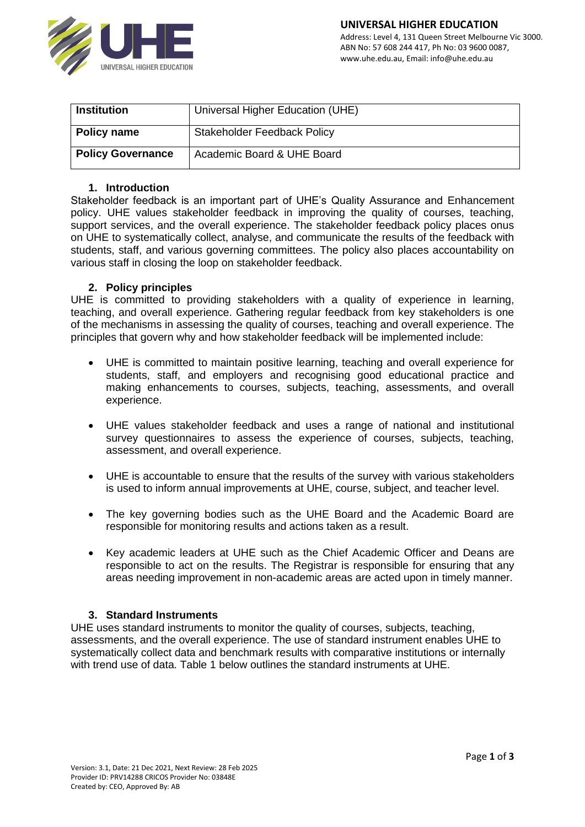

| <b>Institution</b>       | Universal Higher Education (UHE)   |  |  |
|--------------------------|------------------------------------|--|--|
|                          |                                    |  |  |
| Policy name              | <b>Stakeholder Feedback Policy</b> |  |  |
|                          |                                    |  |  |
| <b>Policy Governance</b> | Academic Board & UHE Board         |  |  |
|                          |                                    |  |  |

### **1. Introduction**

Stakeholder feedback is an important part of UHE's Quality Assurance and Enhancement policy. UHE values stakeholder feedback in improving the quality of courses, teaching, support services, and the overall experience. The stakeholder feedback policy places onus on UHE to systematically collect, analyse, and communicate the results of the feedback with students, staff, and various governing committees. The policy also places accountability on various staff in closing the loop on stakeholder feedback.

### **2. Policy principles**

UHE is committed to providing stakeholders with a quality of experience in learning, teaching, and overall experience. Gathering regular feedback from key stakeholders is one of the mechanisms in assessing the quality of courses, teaching and overall experience. The principles that govern why and how stakeholder feedback will be implemented include:

- UHE is committed to maintain positive learning, teaching and overall experience for students, staff, and employers and recognising good educational practice and making enhancements to courses, subjects, teaching, assessments, and overall experience.
- UHE values stakeholder feedback and uses a range of national and institutional survey questionnaires to assess the experience of courses, subjects, teaching, assessment, and overall experience.
- UHE is accountable to ensure that the results of the survey with various stakeholders is used to inform annual improvements at UHE, course, subject, and teacher level.
- The key governing bodies such as the UHE Board and the Academic Board are responsible for monitoring results and actions taken as a result.
- Key academic leaders at UHE such as the Chief Academic Officer and Deans are responsible to act on the results. The Registrar is responsible for ensuring that any areas needing improvement in non-academic areas are acted upon in timely manner.

## **3. Standard Instruments**

UHE uses standard instruments to monitor the quality of courses, subjects, teaching, assessments, and the overall experience. The use of standard instrument enables UHE to systematically collect data and benchmark results with comparative institutions or internally with trend use of data. Table 1 below outlines the standard instruments at UHE.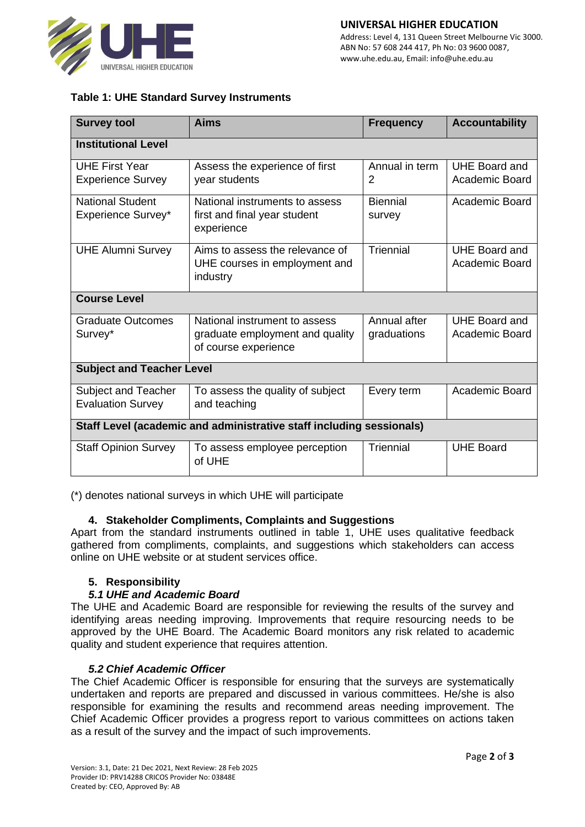

# **Table 1: UHE Standard Survey Instruments**

| <b>Survey tool</b>                                                   | Aims                                                                                     | <b>Frequency</b>            | <b>Accountability</b>                  |  |
|----------------------------------------------------------------------|------------------------------------------------------------------------------------------|-----------------------------|----------------------------------------|--|
| <b>Institutional Level</b>                                           |                                                                                          |                             |                                        |  |
| <b>UHE First Year</b><br><b>Experience Survey</b>                    | Assess the experience of first<br>year students                                          | Annual in term<br>2         | <b>UHE Board and</b><br>Academic Board |  |
| <b>National Student</b><br>Experience Survey*                        | National instruments to assess<br>first and final year student<br>experience             | <b>Biennial</b><br>survey   | Academic Board                         |  |
| <b>UHE Alumni Survey</b>                                             | Aims to assess the relevance of<br>UHE courses in employment and<br>industry             | Triennial                   | UHE Board and<br><b>Academic Board</b> |  |
| <b>Course Level</b>                                                  |                                                                                          |                             |                                        |  |
| <b>Graduate Outcomes</b><br>Survey*                                  | National instrument to assess<br>graduate employment and quality<br>of course experience | Annual after<br>graduations | UHE Board and<br>Academic Board        |  |
| <b>Subject and Teacher Level</b>                                     |                                                                                          |                             |                                        |  |
| Subject and Teacher<br><b>Evaluation Survey</b>                      | To assess the quality of subject<br>and teaching                                         | Every term                  | Academic Board                         |  |
| Staff Level (academic and administrative staff including sessionals) |                                                                                          |                             |                                        |  |
| <b>Staff Opinion Survey</b>                                          | To assess employee perception<br>of UHE                                                  | Triennial                   | <b>UHE Board</b>                       |  |

(\*) denotes national surveys in which UHE will participate

## **4. Stakeholder Compliments, Complaints and Suggestions**

Apart from the standard instruments outlined in table 1, UHE uses qualitative feedback gathered from compliments, complaints, and suggestions which stakeholders can access online on UHE website or at student services office.

#### **5. Responsibility**

#### *5.1 UHE and Academic Board*

The UHE and Academic Board are responsible for reviewing the results of the survey and identifying areas needing improving. Improvements that require resourcing needs to be approved by the UHE Board. The Academic Board monitors any risk related to academic quality and student experience that requires attention.

## *5.2 Chief Academic Officer*

The Chief Academic Officer is responsible for ensuring that the surveys are systematically undertaken and reports are prepared and discussed in various committees. He/she is also responsible for examining the results and recommend areas needing improvement. The Chief Academic Officer provides a progress report to various committees on actions taken as a result of the survey and the impact of such improvements.